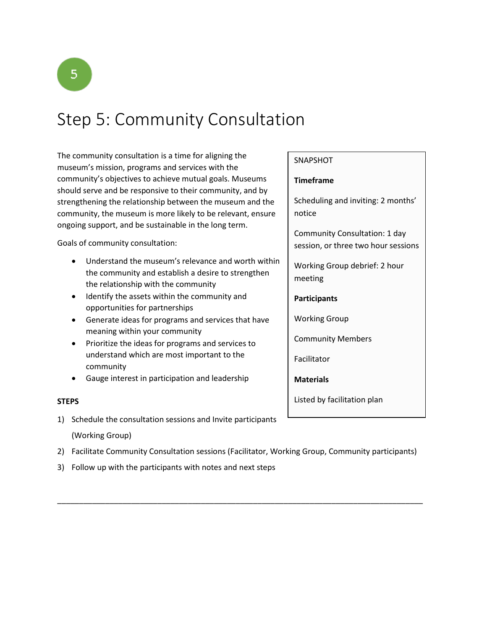

# Step 5: Community Consultation

The community consultation is a time for aligning the museum's mission, programs and services with the community's objectives to achieve mutual goals. Museums should serve and be responsive to their community, and by strengthening the relationship between the museum and the community, the museum is more likely to be relevant, ensure ongoing support, and be sustainable in the long term.

Goals of community consultation:

- Understand the museum's relevance and worth within the community and establish a desire to strengthen the relationship with the community
- Identify the assets within the community and opportunities for partnerships
- Generate ideas for programs and services that have meaning within your community
- Prioritize the ideas for programs and services to understand which are most important to the community
- Gauge interest in participation and leadership

#### **STEPS**

- 1) Schedule the consultation sessions and Invite participants (Working Group)
- 2) Facilitate Community Consultation sessions (Facilitator, Working Group, Community participants)

\_\_\_\_\_\_\_\_\_\_\_\_\_\_\_\_\_\_\_\_\_\_\_\_\_\_\_\_\_\_\_\_\_\_\_\_\_\_\_\_\_\_\_\_\_\_\_\_\_\_\_\_\_\_\_\_\_\_\_\_\_\_\_\_\_\_\_\_\_\_\_\_\_\_\_\_\_\_\_\_\_\_\_\_

3) Follow up with the participants with notes and next steps

#### **SNAPSHOT**

#### **Timeframe**

Scheduling and inviting: 2 months' notice

Community Consultation: 1 day session, or three two hour sessions

Working Group debrief: 2 hour meeting

#### **Participants**

Working Group

Community Members

Facilitator

**Materials**

Listed by facilitation plan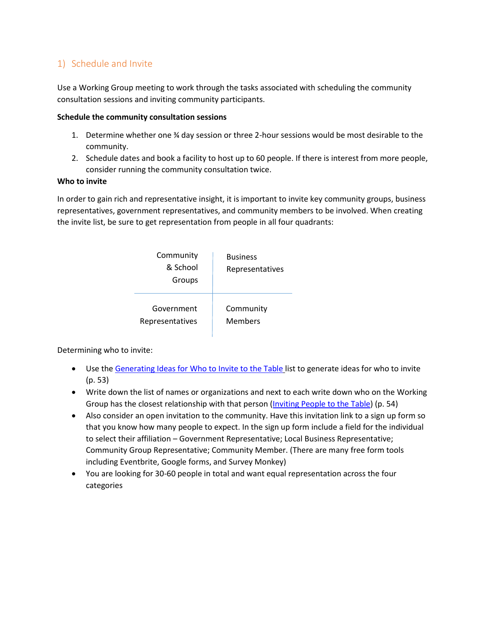## 1) Schedule and Invite

Use a Working Group meeting to work through the tasks associated with scheduling the community consultation sessions and inviting community participants.

#### **Schedule the community consultation sessions**

- 1. Determine whether one ¾ day session or three 2-hour sessions would be most desirable to the community.
- 2. Schedule dates and book a facility to host up to 60 people. If there is interest from more people, consider running the community consultation twice.

#### **Who to invite**

In order to gain rich and representative insight, it is important to invite key community groups, business representatives, government representatives, and community members to be involved. When creating the invite list, be sure to get representation from people in all four quadrants:

| Community<br>& School<br>Groups | <b>Business</b><br>Representatives |
|---------------------------------|------------------------------------|
| Government                      | Community                          |
| Representatives                 | Members                            |

Determining who to invite:

- Use th[e Generating Ideas for Who to Invite to the Table](https://members.museumsontario.ca/sites/default/files/members/members/museumSUCCESSion/Resources/WhotoInvite.pdf) list to generate ideas for who to invite (p. 53)
- Write down the list of names or organizations and next to each write down who on the Working Group has the closest relationship with that person (*Inviting People to the Table*) (p. 54)
- Also consider an open invitation to the community. Have this invitation link to a sign up form so that you know how many people to expect. In the sign up form include a field for the individual to select their affiliation – Government Representative; Local Business Representative; Community Group Representative; Community Member. (There are many free form tools including Eventbrite, Google forms, and Survey Monkey)
- You are looking for 30-60 people in total and want equal representation across the four categories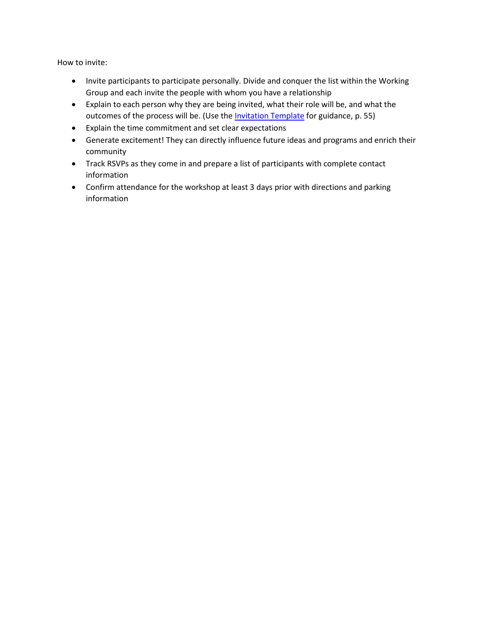How to invite:

- Invite participants to participate personally. Divide and conquer the list within the Working Group and each invite the people with whom you have a relationship
- Explain to each person why they are being invited, what their role will be, and what the outcomes of the process will be. (Use the [Invitation Template](https://members.museumsontario.ca/sites/default/files/members/members/museumSUCCESSion/Resources/InvitationTemplate.pdf) for guidance, p. 55)
- Explain the time commitment and set clear expectations
- Generate excitement! They can directly influence future ideas and programs and enrich their community
- Track RSVPs as they come in and prepare a list of participants with complete contact information
- Confirm attendance for the workshop at least 3 days prior with directions and parking information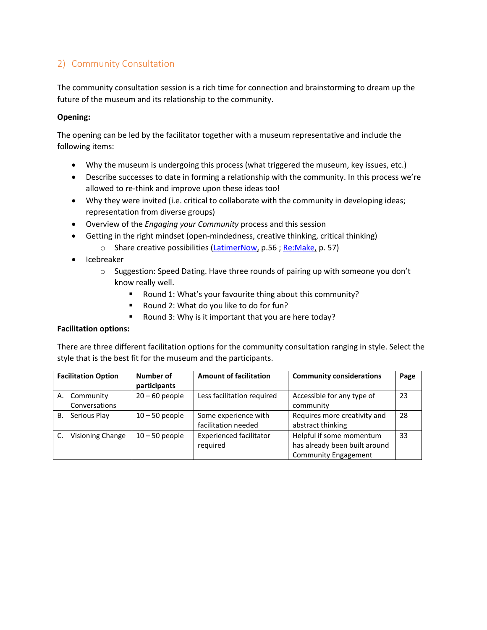## 2) Community Consultation

The community consultation session is a rich time for connection and brainstorming to dream up the future of the museum and its relationship to the community.

#### **Opening:**

The opening can be led by the facilitator together with a museum representative and include the following items:

- Why the museum is undergoing this process (what triggered the museum, key issues, etc.)
- Describe successes to date in forming a relationship with the community. In this process we're allowed to re-think and improve upon these ideas too!
- Why they were invited (i.e. critical to collaborate with the community in developing ideas; representation from diverse groups)
- Overview of the *Engaging your Community* process and this session
- Getting in the right mindset (open-mindedness, creative thinking, critical thinking)
	- o Share creative possibilities [\(LatimerNow,](https://members.museumsontario.ca/sites/default/files/members/members/museumSUCCESSion/Resources/Case%20Studies.pdf) p.56; [Re:Make,](https://members.museumsontario.ca/sites/default/files/members/members/museumSUCCESSion/Resources/Case%20Studies.pdf) p. 57)
- Icebreaker
	- o Suggestion: Speed Dating. Have three rounds of pairing up with someone you don't know really well.
		- Round 1: What's your favourite thing about this community?
		- Round 2: What do you like to do for fun?
		- Round 3: Why is it important that you are here today?

### **Facilitation options:**

There are three different facilitation options for the community consultation ranging in style. Select the style that is the best fit for the museum and the participants.

|    | <b>Facilitation Option</b> | Number of        | <b>Amount of facilitation</b>  | <b>Community considerations</b> | Page |
|----|----------------------------|------------------|--------------------------------|---------------------------------|------|
|    |                            | participants     |                                |                                 |      |
|    | A. Community               | $20 - 60$ people | Less facilitation required     | Accessible for any type of      | 23   |
|    | Conversations              |                  |                                | community                       |      |
| B. | Serious Play               | $10 - 50$ people | Some experience with           | Requires more creativity and    | 28   |
|    |                            |                  | facilitation needed            | abstract thinking               |      |
|    | Visioning Change           | $10 - 50$ people | <b>Experienced facilitator</b> | Helpful if some momentum        | 33   |
|    |                            |                  | required                       | has already been built around   |      |
|    |                            |                  |                                | <b>Community Engagement</b>     |      |